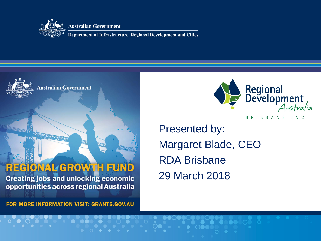

**Australian Government** 

Department of Infrastructure, Regional Development and Cities





BRISBANE INC

Presented by: Margaret Blade, CEO RDA Brisbane 29 March 2018

**FOR MORE INFORMATION VISIT: GRANTS.GOV.AU**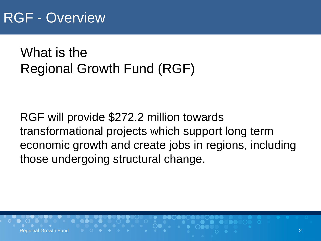## RGF - Overview

What is the Regional Growth Fund (RGF)

RGF will provide \$272.2 million towards transformational projects which support long term economic growth and create jobs in regions, including those undergoing structural change.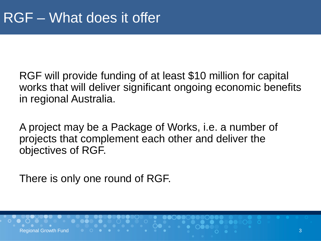RGF will provide funding of at least \$10 million for capital works that will deliver significant ongoing economic benefits in regional Australia.

A project may be a Package of Works, i.e. a number of projects that complement each other and deliver the objectives of RGF.

There is only one round of RGF.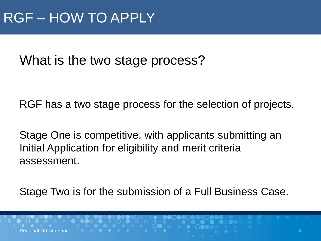Regional Growth Fund

What is the two stage process?

RGF has a two stage process for the selection of projects.

Stage One is competitive, with applicants submitting an Initial Application for eligibility and merit criteria assessment.

Stage Two is for the submission of a Full Business Case.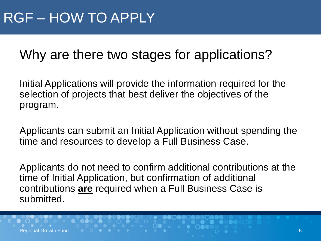### Why are there two stages for applications?

Initial Applications will provide the information required for the selection of projects that best deliver the objectives of the program.

Applicants can submit an Initial Application without spending the time and resources to develop a Full Business Case.

Applicants do not need to confirm additional contributions at the time of Initial Application, but confirmation of additional contributions **are** required when a Full Business Case is submitted.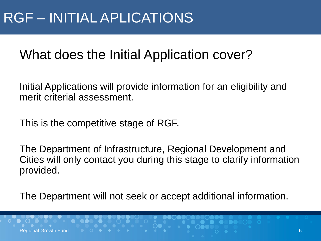### What does the Initial Application cover?

Initial Applications will provide information for an eligibility and merit criterial assessment.

This is the competitive stage of RGF.

The Department of Infrastructure, Regional Development and Cities will only contact you during this stage to clarify information provided.

The Department will not seek or accept additional information.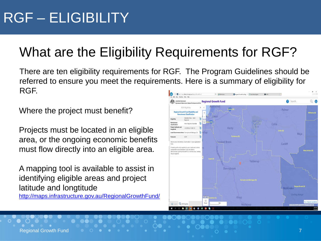## What are the Eligibility Requirements for RGF?

There are ten eligibility requirements for RGF. The Program Guidelines should be referred to ensure you meet the requirements. Here is a summary of eligibility for RGF.

Where the project must benefit?

Projects must be located in an eligible area, or the ongoing economic benefits must flow directly into an eligible area.

A mapping tool is available to assist in identifying eligible areas and project latitude and longtitude

<http://maps.infrastructure.gov.au/RegionalGrowthFund/>

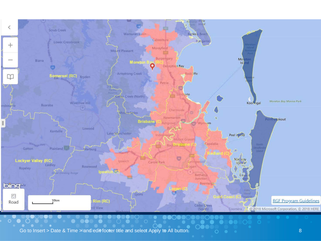

Go to Insert > Date & Time > and edit footer title and select Apply to All button 8 (3) 8 (3) 8 (3) 8 (3) 8 (3) 8 (3) 8 (3) 8 (3) 8 (3) 8 (3) 8 (3) 8 (3) 8 (3) 8 (3) 8 (3) 8 (3) 8 (3) 8 (3) 8 (3) 8 (3) 8 (3) 8 (3) 8 (3) 8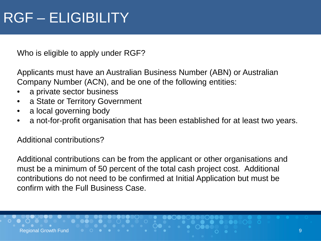# RGF – ELIGIBILITY

Who is eligible to apply under RGF?

Applicants must have an Australian Business Number (ABN) or Australian Company Number (ACN), and be one of the following entities:

- a private sector business
- a State or Territory Government
- a local governing body
- a not-for-profit organisation that has been established for at least two years.

Additional contributions?

Additional contributions can be from the applicant or other organisations and must be a minimum of 50 percent of the total cash project cost. Additional contributions do not need to be confirmed at Initial Application but must be confirm with the Full Business Case.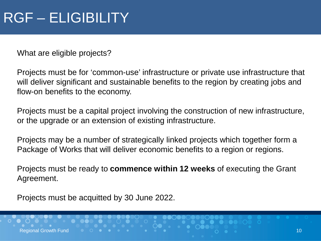# RGF – ELIGIBILITY

What are eligible projects?

Projects must be for 'common-use' infrastructure or private use infrastructure that will deliver significant and sustainable benefits to the region by creating jobs and flow-on benefits to the economy.

Projects must be a capital project involving the construction of new infrastructure, or the upgrade or an extension of existing infrastructure.

Projects may be a number of strategically linked projects which together form a Package of Works that will deliver economic benefits to a region or regions.

Projects must be ready to **commence within 12 weeks** of executing the Grant Agreement.

Projects must be acquitted by 30 June 2022.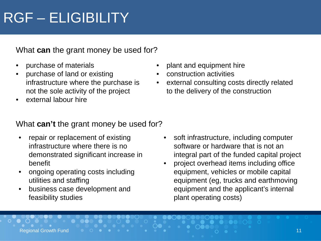# RGF – ELIGIBILITY

What **can** the grant money be used for?

- purchase of materials
- purchase of land or existing infrastructure where the purchase is not the sole activity of the project
- external labour hire

#### • plant and equipment hire

- construction activities
- external consulting costs directly related to the delivery of the construction

### What **can't** the grant money be used for?

- repair or replacement of existing infrastructure where there is no demonstrated significant increase in benefit
- ongoing operating costs including utilities and staffing
- business case development and feasibility studies
- soft infrastructure, including computer software or hardware that is not an integral part of the funded capital project
- project overhead items including office equipment, vehicles or mobile capital equipment (eg, trucks and earthmoving equipment and the applicant's internal plant operating costs)

Regional Growth Fund 11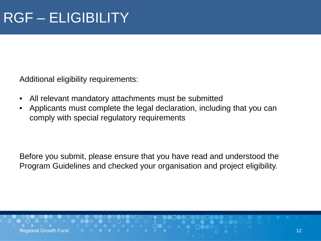Additional eligibility requirements:

- All relevant mandatory attachments must be submitted
- Applicants must complete the legal declaration, including that you can comply with special regulatory requirements

Before you submit, please ensure that you have read and understood the Program Guidelines and checked your organisation and project eligibility.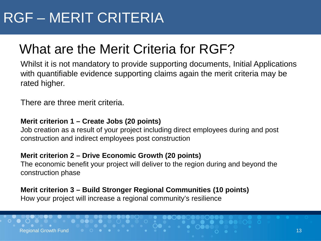# RGF – MERIT CRITERIA

## What are the Merit Criteria for RGF?

Whilst it is not mandatory to provide supporting documents, Initial Applications with quantifiable evidence supporting claims again the merit criteria may be rated higher.

There are three merit criteria.

#### **Merit criterion 1 – Create Jobs (20 points)**

Job creation as a result of your project including direct employees during and post construction and indirect employees post construction

#### **Merit criterion 2 – Drive Economic Growth (20 points)**

The economic benefit your project will deliver to the region during and beyond the construction phase

#### **Merit criterion 3 – Build Stronger Regional Communities (10 points)**

How your project will increase a regional community's resilience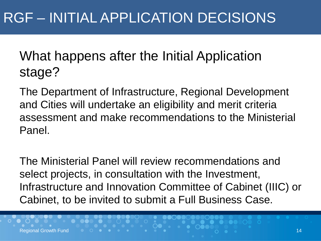What happens after the Initial Application stage?

The Department of Infrastructure, Regional Development and Cities will undertake an eligibility and merit criteria assessment and make recommendations to the Ministerial Panel.

The Ministerial Panel will review recommendations and select projects, in consultation with the Investment, Infrastructure and Innovation Committee of Cabinet (IIIC) or Cabinet, to be invited to submit a Full Business Case.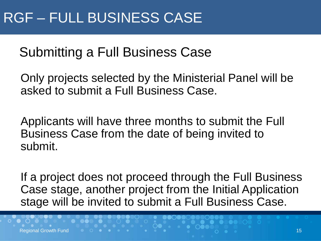## Submitting a Full Business Case

Only projects selected by the Ministerial Panel will be asked to submit a Full Business Case.

Applicants will have three months to submit the Full Business Case from the date of being invited to submit.

If a project does not proceed through the Full Business Case stage, another project from the Initial Application stage will be invited to submit a Full Business Case.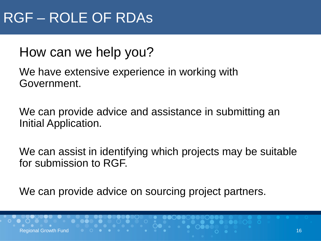### How can we help you?

We have extensive experience in working with Government.

We can provide advice and assistance in submitting an Initial Application.

We can assist in identifying which projects may be suitable for submission to RGF.

We can provide advice on sourcing project partners.